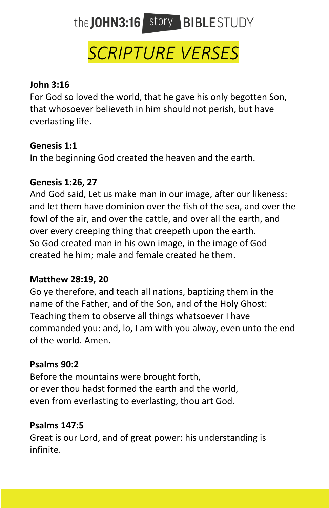# the JOHN3:16 story BIBLESTUDY

# *SCRIPTURE VERSES*

# **John 3:16**

For God so loved the world, that he gave his only begotten Son, that whosoever believeth in him should not perish, but have everlasting life.

# **Genesis 1:1**

In the beginning God created the heaven and the earth.

# **Genesis 1:26, 27**

And God said, Let us make man in our image, after our likeness: and let them have dominion over the fish of the sea, and over the fowl of the air, and over the cattle, and over all the earth, and over every creeping thing that creepeth upon the earth. So God created man in his own image, in the image of God created he him; male and female created he them.

# **Matthew 28:19, 20**

Go ye therefore, and teach all nations, baptizing them in the name of the Father, and of the Son, and of the Holy Ghost: Teaching them to observe all things whatsoever I have commanded you: and, lo, I am with you alway, even unto the end of the world. Amen.

# **Psalms 90:2**

Before the mountains were brought forth, or ever thou hadst formed the earth and the world, even from everlasting to everlasting, thou art God.

# **Psalms 147:5**

Great is our Lord, and of great power: his understanding is infinite.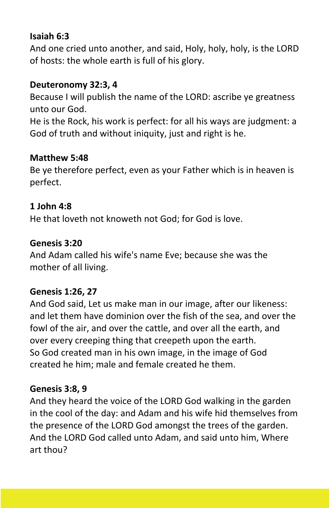### **Isaiah 6:3**

And one cried unto another, and said, Holy, holy, holy, is the LORD of hosts: the whole earth is full of his glory.

# **Deuteronomy 32:3, 4**

Because I will publish the name of the LORD: ascribe ye greatness unto our God.

He is the Rock, his work is perfect: for all his ways are judgment: a God of truth and without iniquity, just and right is he.

# **Matthew 5:48**

Be ye therefore perfect, even as your Father which is in heaven is perfect.

# **1 John 4:8**

He that loveth not knoweth not God; for God is love.

#### **Genesis 3:20**

And Adam called his wife's name Eve; because she was the mother of all living.

#### **Genesis 1:26, 27**

And God said, Let us make man in our image, after our likeness: and let them have dominion over the fish of the sea, and over the fowl of the air, and over the cattle, and over all the earth, and over every creeping thing that creepeth upon the earth. So God created man in his own image, in the image of God created he him; male and female created he them.

#### **Genesis 3:8, 9**

And they heard the voice of the LORD God walking in the garden in the cool of the day: and Adam and his wife hid themselves from the presence of the LORD God amongst the trees of the garden. And the LORD God called unto Adam, and said unto him, Where art thou?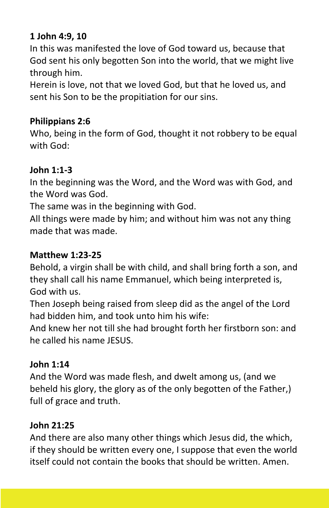# **1 John 4:9, 10**

In this was manifested the love of God toward us, because that God sent his only begotten Son into the world, that we might live through him.

Herein is love, not that we loved God, but that he loved us, and sent his Son to be the propitiation for our sins.

# **Philippians 2:6**

Who, being in the form of God, thought it not robbery to be equal with God:

# **John 1:1-3**

In the beginning was the Word, and the Word was with God, and the Word was God.

The same was in the beginning with God.

All things were made by him; and without him was not any thing made that was made.

# **Matthew 1:23-25**

Behold, a virgin shall be with child, and shall bring forth a son, and they shall call his name Emmanuel, which being interpreted is, God with us.

Then Joseph being raised from sleep did as the angel of the Lord had bidden him, and took unto him his wife:

And knew her not till she had brought forth her firstborn son: and he called his name JESUS.

# **John 1:14**

And the Word was made flesh, and dwelt among us, (and we beheld his glory, the glory as of the only begotten of the Father,) full of grace and truth.

# **John 21:25**

And there are also many other things which Jesus did, the which, if they should be written every one, I suppose that even the world itself could not contain the books that should be written. Amen.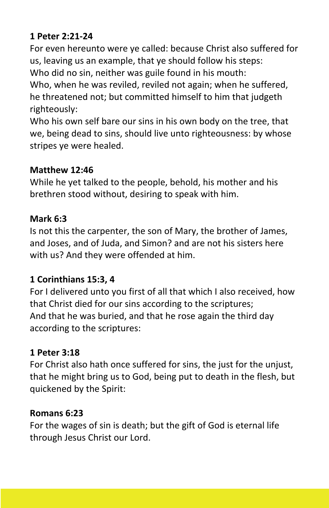# **1 Peter 2:21-24**

For even hereunto were ye called: because Christ also suffered for us, leaving us an example, that ye should follow his steps:

Who did no sin, neither was guile found in his mouth:

Who, when he was reviled, reviled not again; when he suffered, he threatened not; but committed himself to him that judgeth righteously:

Who his own self bare our sins in his own body on the tree, that we, being dead to sins, should live unto righteousness: by whose stripes ye were healed.

# **Matthew 12:46**

While he yet talked to the people, behold, his mother and his brethren stood without, desiring to speak with him.

#### **Mark 6:3**

Is not this the carpenter, the son of Mary, the brother of James, and Joses, and of Juda, and Simon? and are not his sisters here with us? And they were offended at him.

# **1 Corinthians 15:3, 4**

For I delivered unto you first of all that which I also received, how that Christ died for our sins according to the scriptures; And that he was buried, and that he rose again the third day according to the scriptures:

#### **1 Peter 3:18**

For Christ also hath once suffered for sins, the just for the unjust, that he might bring us to God, being put to death in the flesh, but quickened by the Spirit:

#### **Romans 6:23**

For the wages of sin is death; but the gift of God is eternal life through Jesus Christ our Lord.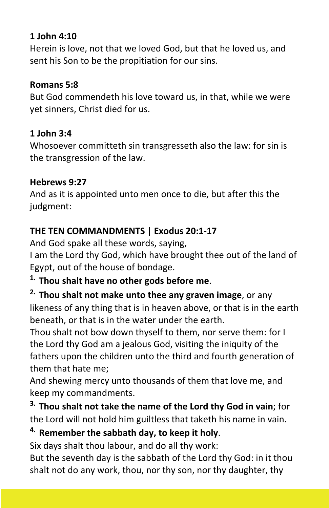# **1 John 4:10**

Herein is love, not that we loved God, but that he loved us, and sent his Son to be the propitiation for our sins.

#### **Romans 5:8**

But God commendeth his love toward us, in that, while we were yet sinners, Christ died for us.

# **1 John 3:4**

Whosoever committeth sin transgresseth also the law: for sin is the transgression of the law.

#### **Hebrews 9:27**

And as it is appointed unto men once to die, but after this the judgment:

# **THE TEN COMMANDMENTS** | **Exodus 20:1-17**

And God spake all these words, saying,

I am the Lord thy God, which have brought thee out of the land of Egypt, out of the house of bondage.

# **1. Thou shalt have no other gods before me**.

# **2. Thou shalt not make unto thee any graven image**, or any likeness of any thing that is in heaven above, or that is in the earth beneath, or that is in the water under the earth.

Thou shalt not bow down thyself to them, nor serve them: for I the Lord thy God am a jealous God, visiting the iniquity of the fathers upon the children unto the third and fourth generation of them that hate me;

And shewing mercy unto thousands of them that love me, and keep my commandments.

# **3. Thou shalt not take the name of the Lord thy God in vain**; for the Lord will not hold him guiltless that taketh his name in vain.

# **4. Remember the sabbath day, to keep it holy**.

Six days shalt thou labour, and do all thy work:

But the seventh day is the sabbath of the Lord thy God: in it thou shalt not do any work, thou, nor thy son, nor thy daughter, thy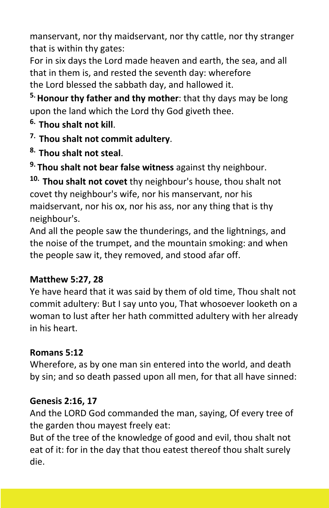manservant, nor thy maidservant, nor thy cattle, nor thy stranger that is within thy gates:

For in six days the Lord made heaven and earth, the sea, and all that in them is, and rested the seventh day: wherefore the Lord blessed the sabbath day, and hallowed it.

**5.Honour thy father and thy mother**: that thy days may be long upon the land which the Lord thy God giveth thee.

- **6. Thou shalt not kill**.
- **7. Thou shalt not commit adultery**.
- **8. Thou shalt not steal**.

**9. Thou shalt not bear false witness** against thy neighbour.

**10. Thou shalt not covet** thy neighbour's house, thou shalt not covet thy neighbour's wife, nor his manservant, nor his maidservant, nor his ox, nor his ass, nor any thing that is thy neighbour's.

And all the people saw the thunderings, and the lightnings, and the noise of the trumpet, and the mountain smoking: and when the people saw it, they removed, and stood afar off.

# **Matthew 5:27, 28**

Ye have heard that it was said by them of old time, Thou shalt not commit adultery: But I say unto you, That whosoever looketh on a woman to lust after her hath committed adultery with her already in his heart.

# **Romans 5:12**

Wherefore, as by one man sin entered into the world, and death by sin; and so death passed upon all men, for that all have sinned:

# **Genesis 2:16, 17**

And the LORD God commanded the man, saying, Of every tree of the garden thou mayest freely eat:

But of the tree of the knowledge of good and evil, thou shalt not eat of it: for in the day that thou eatest thereof thou shalt surely die.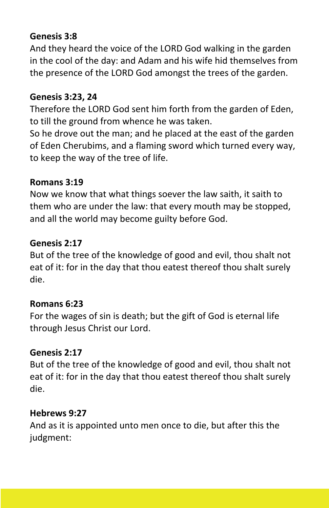# **Genesis 3:8**

And they heard the voice of the LORD God walking in the garden in the cool of the day: and Adam and his wife hid themselves from the presence of the LORD God amongst the trees of the garden.

#### **Genesis 3:23, 24**

Therefore the LORD God sent him forth from the garden of Eden, to till the ground from whence he was taken.

So he drove out the man; and he placed at the east of the garden of Eden Cherubims, and a flaming sword which turned every way, to keep the way of the tree of life.

#### **Romans 3:19**

Now we know that what things soever the law saith, it saith to them who are under the law: that every mouth may be stopped, and all the world may become guilty before God.

#### **Genesis 2:17**

But of the tree of the knowledge of good and evil, thou shalt not eat of it: for in the day that thou eatest thereof thou shalt surely die.

#### **Romans 6:23**

For the wages of sin is death; but the gift of God is eternal life through Jesus Christ our Lord.

#### **Genesis 2:17**

But of the tree of the knowledge of good and evil, thou shalt not eat of it: for in the day that thou eatest thereof thou shalt surely die.

#### **Hebrews 9:27**

And as it is appointed unto men once to die, but after this the judgment: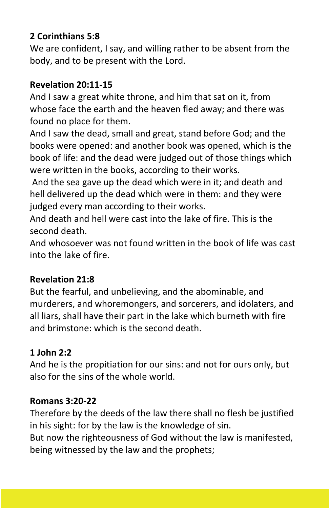# **2 Corinthians 5:8**

We are confident, I say, and willing rather to be absent from the body, and to be present with the Lord.

# **Revelation 20:11-15**

And I saw a great white throne, and him that sat on it, from whose face the earth and the heaven fled away; and there was found no place for them.

And I saw the dead, small and great, stand before God; and the books were opened: and another book was opened, which is the book of life: and the dead were judged out of those things which were written in the books, according to their works.

And the sea gave up the dead which were in it; and death and hell delivered up the dead which were in them: and they were judged every man according to their works.

And death and hell were cast into the lake of fire. This is the second death.

And whosoever was not found written in the book of life was cast into the lake of fire.

# **Revelation 21:8**

But the fearful, and unbelieving, and the abominable, and murderers, and whoremongers, and sorcerers, and idolaters, and all liars, shall have their part in the lake which burneth with fire and brimstone: which is the second death.

# **1 John 2:2**

And he is the propitiation for our sins: and not for ours only, but also for the sins of the whole world.

# **Romans 3:20-22**

Therefore by the deeds of the law there shall no flesh be justified in his sight: for by the law is the knowledge of sin.

But now the righteousness of God without the law is manifested, being witnessed by the law and the prophets;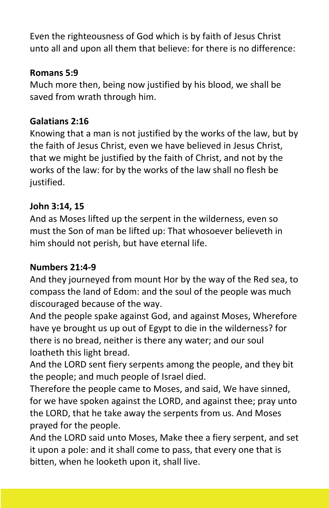Even the righteousness of God which is by faith of Jesus Christ unto all and upon all them that believe: for there is no difference:

# **Romans 5:9**

Much more then, being now justified by his blood, we shall be saved from wrath through him.

# **Galatians 2:16**

Knowing that a man is not justified by the works of the law, but by the faith of Jesus Christ, even we have believed in Jesus Christ, that we might be justified by the faith of Christ, and not by the works of the law: for by the works of the law shall no flesh be justified.

# **John 3:14, 15**

And as Moses lifted up the serpent in the wilderness, even so must the Son of man be lifted up: That whosoever believeth in him should not perish, but have eternal life.

#### **Numbers 21:4-9**

And they journeyed from mount Hor by the way of the Red sea, to compass the land of Edom: and the soul of the people was much discouraged because of the way.

And the people spake against God, and against Moses, Wherefore have ye brought us up out of Egypt to die in the wilderness? for there is no bread, neither is there any water; and our soul loatheth this light bread.

And the LORD sent fiery serpents among the people, and they bit the people; and much people of Israel died.

Therefore the people came to Moses, and said, We have sinned, for we have spoken against the LORD, and against thee; pray unto the LORD, that he take away the serpents from us. And Moses prayed for the people.

And the LORD said unto Moses, Make thee a fiery serpent, and set it upon a pole: and it shall come to pass, that every one that is bitten, when he looketh upon it, shall live.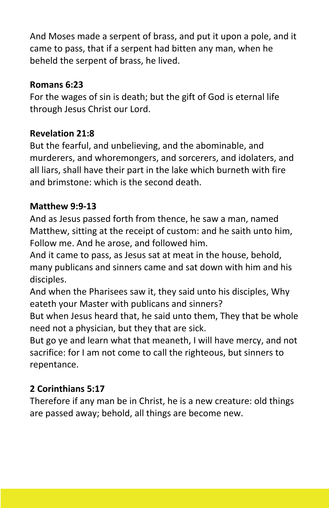And Moses made a serpent of brass, and put it upon a pole, and it came to pass, that if a serpent had bitten any man, when he beheld the serpent of brass, he lived.

# **Romans 6:23**

For the wages of sin is death; but the gift of God is eternal life through Jesus Christ our Lord.

# **Revelation 21:8**

But the fearful, and unbelieving, and the abominable, and murderers, and whoremongers, and sorcerers, and idolaters, and all liars, shall have their part in the lake which burneth with fire and brimstone: which is the second death.

#### **Matthew 9:9-13**

And as Jesus passed forth from thence, he saw a man, named Matthew, sitting at the receipt of custom: and he saith unto him, Follow me. And he arose, and followed him.

And it came to pass, as Jesus sat at meat in the house, behold, many publicans and sinners came and sat down with him and his disciples.

And when the Pharisees saw it, they said unto his disciples, Why eateth your Master with publicans and sinners?

But when Jesus heard that, he said unto them, They that be whole need not a physician, but they that are sick.

But go ye and learn what that meaneth, I will have mercy, and not sacrifice: for I am not come to call the righteous, but sinners to repentance.

# **2 Corinthians 5:17**

Therefore if any man be in Christ, he is a new creature: old things are passed away; behold, all things are become new.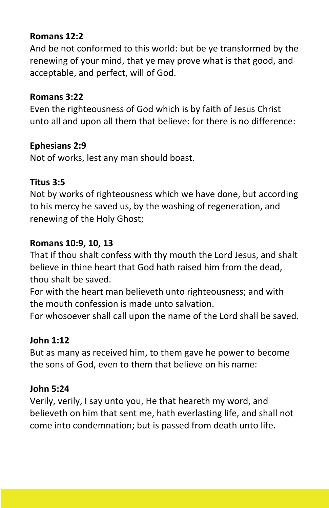# **Romans 12:2**

And be not conformed to this world: but be ye transformed by the renewing of your mind, that ye may prove what is that good, and acceptable, and perfect, will of God.

#### **Romans 3:22**

Even the righteousness of God which is by faith of Jesus Christ unto all and upon all them that believe: for there is no difference:

# **Ephesians 2:9**

Not of works, lest any man should boast.

#### **Titus 3:5**

Not by works of righteousness which we have done, but according to his mercy he saved us, by the washing of regeneration, and renewing of the Holy Ghost;

#### **Romans 10:9, 10, 13**

That if thou shalt confess with thy mouth the Lord Jesus, and shalt believe in thine heart that God hath raised him from the dead, thou shalt be saved.

For with the heart man believeth unto righteousness; and with the mouth confession is made unto salvation.

For whosoever shall call upon the name of the Lord shall be saved.

#### **John 1:12**

But as many as received him, to them gave he power to become the sons of God, even to them that believe on his name:

#### **John 5:24**

Verily, verily, I say unto you, He that heareth my word, and believeth on him that sent me, hath everlasting life, and shall not come into condemnation; but is passed from death unto life.